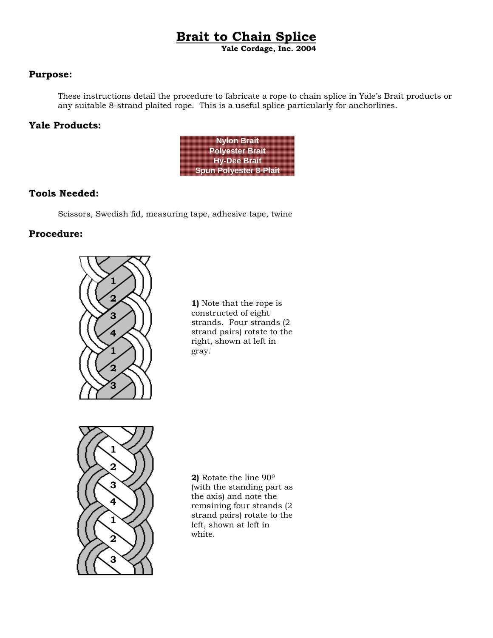# **Brait to Chain Splice**

**Yale Cordage, Inc. 2004**

### **Purpose:**

These instructions detail the procedure to fabricate a rope to chain splice in Yale's Brait products or any suitable 8-strand plaited rope. This is a useful splice particularly for anchorlines.

## **Yale Products:**



## **Tools Needed:**

Scissors, Swedish fid, measuring tape, adhesive tape, twine

## **Procedure:**



**1)** Note that the rope is constructed of eight strands. Four strands (2 strand pairs) rotate to the right, shown at left in gray.



**2)** Rotate the line 900 (with the standing part as the axis) and note the remaining four strands (2 strand pairs) rotate to the left, shown at left in white.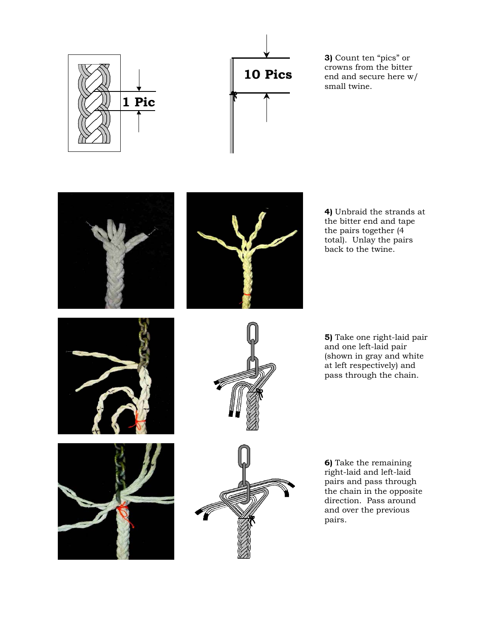



**3)** Count ten "pics" or crowns from the bitter end and secure here w/ small twine.





**4)** Unbraid the strands at the bitter end and tape the pairs together (4 total). Unlay the pairs back to the twine.







 $\overline{\phantom{a}}$ 

**5)** Take one right-laid pair and one left-laid pair (shown in gray and white at left respectively) and pass through the chain.

**6)** Take the remaining right-laid and left-laid pairs and pass through the chain in the opposite direction. Pass around and over the previous pairs.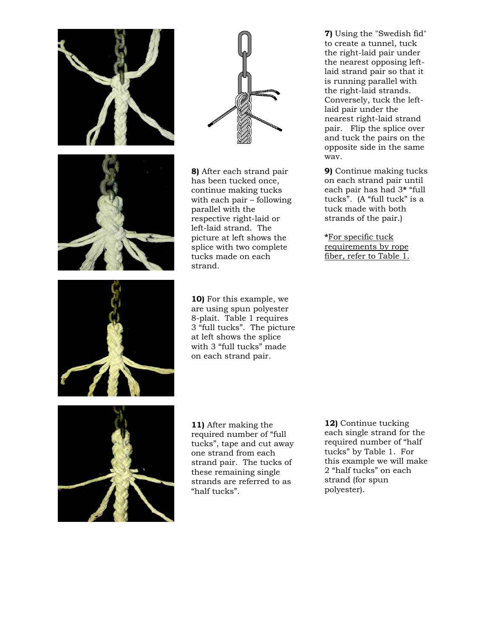





**8)** After each strand pair has been tucked once, continue making tucks with each pair – following parallel with the respective right-laid or left-laid strand. The picture at left shows the splice with two complete tucks made on each strand.

at left shows the splice with 3 "full tucks" made on each strand pair.

**7)** Using the "Swedish fid" to create a tunnel, tuck the right-laid pair under the nearest opposing leftlaid strand pair so that it is running parallel with the right-laid strands. Conversely, tuck the leftlaid pair under the nearest right-laid strand pair. Flip the splice over and tuck the pairs on the opposite side in the same way.

**9)** Continue making tucks on each strand pair until each pair has had 3**\*** "full tucks". (A "full tuck" is a tuck made with both strands of the pair.)

**\***For specific tuck requirements by rope fiber, refer to Table 1.



**10)** For this example, we are using spun polyester 8-plait. Table 1 requires 3 "full tucks". The picture



**11)** After making the required number of "full tucks", tape and cut away one strand from each strand pair. The tucks of these remaining single strands are referred to as "half tucks".

**12)** Continue tucking each single strand for the required number of "half tucks" by Table 1. For this example we will make 2 "half tucks" on each strand (for spun polyester).